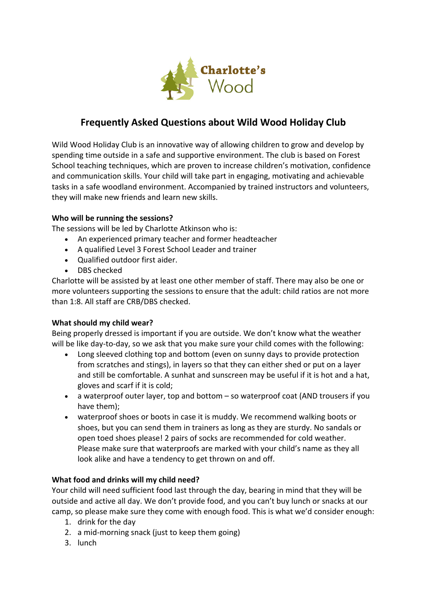

# **Frequently Asked Questions about Wild Wood Holiday Club**

Wild Wood Holiday Club is an innovative way of allowing children to grow and develop by spending time outside in a safe and supportive environment. The club is based on Forest School teaching techniques, which are proven to increase children's motivation, confidence and communication skills. Your child will take part in engaging, motivating and achievable tasks in a safe woodland environment. Accompanied by trained instructors and volunteers, they will make new friends and learn new skills.

## **Who will be running the sessions?**

The sessions will be led by Charlotte Atkinson who is:

- An experienced primary teacher and former headteacher
- A qualified Level 3 Forest School Leader and trainer
- Qualified outdoor first aider.
- DBS checked

Charlotte will be assisted by at least one other member of staff. There may also be one or more volunteers supporting the sessions to ensure that the adult: child ratios are not more than 1:8. All staff are CRB/DBS checked.

## **What should my child wear?**

Being properly dressed is important if you are outside. We don't know what the weather will be like day-to-day, so we ask that you make sure your child comes with the following:

- Long sleeved clothing top and bottom (even on sunny days to provide protection from scratches and stings), in layers so that they can either shed or put on a layer and still be comfortable. A sunhat and sunscreen may be useful if it is hot and a hat, gloves and scarf if it is cold;
- a waterproof outer layer, top and bottom so waterproof coat (AND trousers if you have them);
- waterproof shoes or boots in case it is muddy. We recommend walking boots or shoes, but you can send them in trainers as long as they are sturdy. No sandals or open toed shoes please! 2 pairs of socks are recommended for cold weather. Please make sure that waterproofs are marked with your child's name as they all look alike and have a tendency to get thrown on and off.

## **What food and drinks will my child need?**

Your child will need sufficient food last through the day, bearing in mind that they will be outside and active all day. We don't provide food, and you can't buy lunch or snacks at our camp, so please make sure they come with enough food. This is what we'd consider enough:

- 1. drink for the day
- 2. a mid-morning snack (just to keep them going)
- 3. lunch